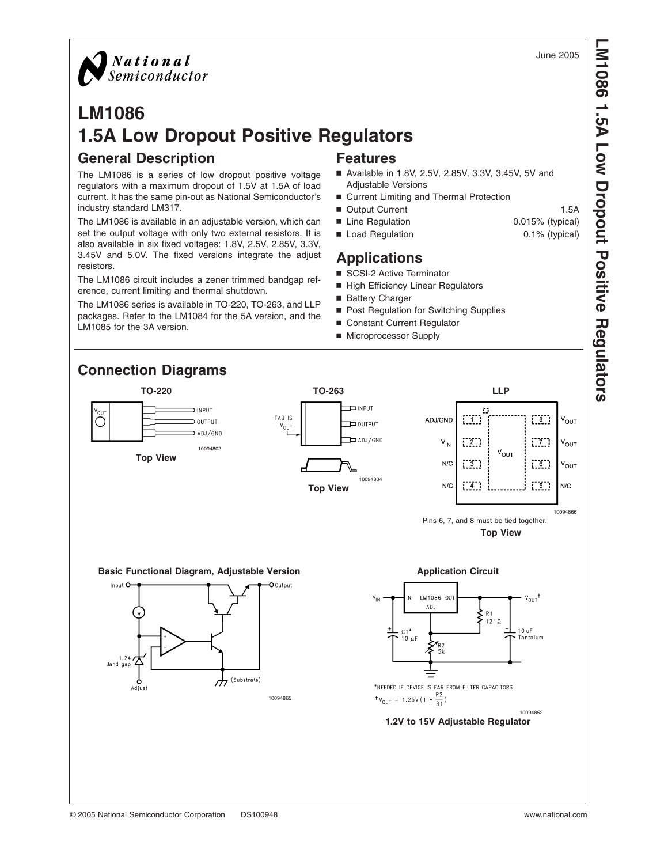

**LM1086 1.5A Low Dropout Positive** 

**Regulators**



# **LM1086 1.5A Low Dropout Positive Regulators General Description Features**

The LM1086 is a series of low dropout positive voltage regulators with a maximum dropout of 1.5V at 1.5A of load current. It has the same pin-out as National Semiconductor's industry standard LM317.

The LM1086 is available in an adjustable version, which can set the output voltage with only two external resistors. It is also available in six fixed voltages: 1.8V, 2.5V, 2.85V, 3.3V, 3.45V and 5.0V. The fixed versions integrate the adjust resistors.

The LM1086 circuit includes a zener trimmed bandgap reference, current limiting and thermal shutdown.

The LM1086 series is available in TO-220, TO-263, and LLP packages. Refer to the LM1084 for the 5A version, and the LM1085 for the 3A version.

- Available in 1.8V, 2.5V, 2.85V, 3.3V, 3.45V, 5V and Adjustable Versions
- Current Limiting and Thermal Protection
- Output Current 1.5A
- Line Regulation 0.015% (typical)
- Load Regulation 0.1% (typical)

# **Applications**

- SCSI-2 Active Terminator
- High Efficiency Linear Regulators
- Battery Charger
- Post Regulation for Switching Supplies
- Constant Current Regulator
- Microprocessor Supply



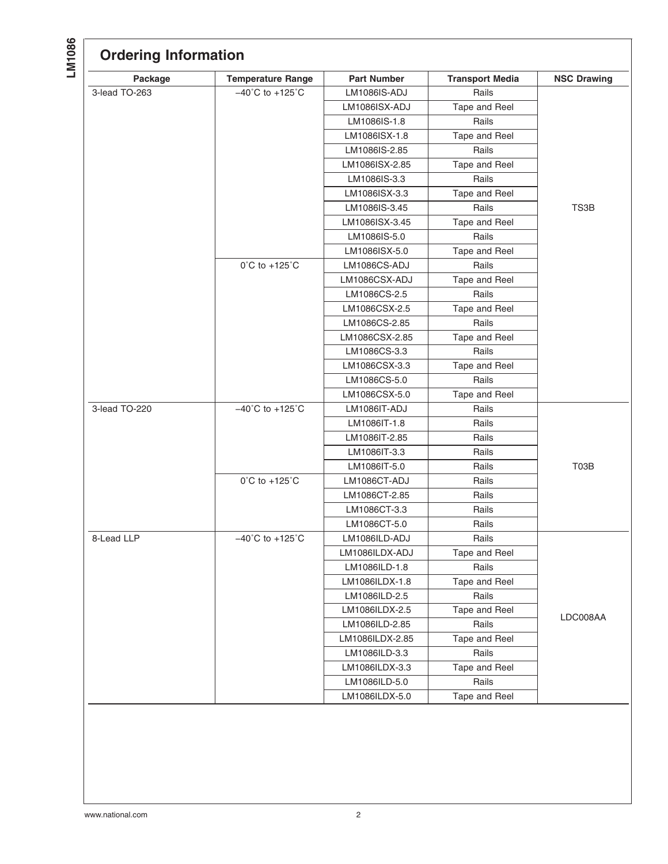| Package       | <b>Temperature Range</b>            | <b>Part Number</b> | <b>Transport Media</b> | <b>NSC Drawing</b> |
|---------------|-------------------------------------|--------------------|------------------------|--------------------|
| 3-lead TO-263 | $-40^{\circ}$ C to $+125^{\circ}$ C | LM1086IS-ADJ       | Rails                  |                    |
|               |                                     | LM1086ISX-ADJ      | Tape and Reel          |                    |
|               |                                     | LM1086IS-1.8       | Rails                  |                    |
|               |                                     | LM1086ISX-1.8      | Tape and Reel          |                    |
|               |                                     | LM1086IS-2.85      | Rails                  |                    |
|               |                                     | LM1086ISX-2.85     | Tape and Reel          |                    |
|               |                                     | LM1086IS-3.3       | Rails                  |                    |
|               |                                     | LM1086ISX-3.3      | Tape and Reel          |                    |
|               |                                     | LM1086IS-3.45      | Rails                  | TS3B               |
|               |                                     | LM1086ISX-3.45     | Tape and Reel          |                    |
|               |                                     | LM1086IS-5.0       | Rails                  |                    |
|               |                                     | LM1086ISX-5.0      | Tape and Reel          |                    |
|               | $0^{\circ}$ C to +125 $^{\circ}$ C  | LM1086CS-ADJ       | Rails                  |                    |
|               |                                     | LM1086CSX-ADJ      | Tape and Reel          |                    |
|               |                                     | LM1086CS-2.5       | Rails                  |                    |
|               |                                     | LM1086CSX-2.5      | Tape and Reel          |                    |
|               |                                     | LM1086CS-2.85      | Rails                  |                    |
|               |                                     | LM1086CSX-2.85     | Tape and Reel          |                    |
|               |                                     | LM1086CS-3.3       | Rails                  |                    |
|               |                                     | LM1086CSX-3.3      | Tape and Reel          |                    |
|               |                                     | LM1086CS-5.0       | Rails                  |                    |
|               |                                     | LM1086CSX-5.0      | Tape and Reel          |                    |
| 3-lead TO-220 | $-40^{\circ}$ C to $+125^{\circ}$ C | LM1086IT-ADJ       | Rails                  |                    |
|               |                                     | LM1086IT-1.8       | Rails                  |                    |
|               |                                     | LM1086IT-2.85      | Rails                  |                    |
|               |                                     | LM1086IT-3.3       | Rails                  |                    |
|               |                                     | LM1086IT-5.0       | Rails                  | T03B               |
|               | $0^{\circ}$ C to +125 $^{\circ}$ C  | LM1086CT-ADJ       | Rails                  |                    |
|               |                                     | LM1086CT-2.85      | Rails                  |                    |
|               |                                     | LM1086CT-3.3       | Rails                  |                    |
|               |                                     | LM1086CT-5.0       | Rails                  |                    |
| 8-Lead LLP    | $-40^{\circ}$ C to $+125^{\circ}$ C | LM1086ILD-ADJ      | Rails                  |                    |
|               |                                     | LM1086ILDX-ADJ     | Tape and Reel          |                    |
|               |                                     | LM1086ILD-1.8      | Rails                  |                    |
|               |                                     | LM1086ILDX-1.8     | Tape and Reel          |                    |
|               |                                     | LM1086ILD-2.5      | Rails                  |                    |
|               |                                     | LM1086ILDX-2.5     | Tape and Reel          |                    |
|               |                                     | LM1086ILD-2.85     | Rails                  | LDC008AA           |
|               |                                     | LM1086ILDX-2.85    | Tape and Reel          |                    |
|               |                                     | LM1086ILD-3.3      | Rails                  |                    |
|               |                                     | LM1086ILDX-3.3     | Tape and Reel          |                    |
|               |                                     | LM1086ILD-5.0      | Rails                  |                    |
|               |                                     | LM1086ILDX-5.0     | Tape and Reel          |                    |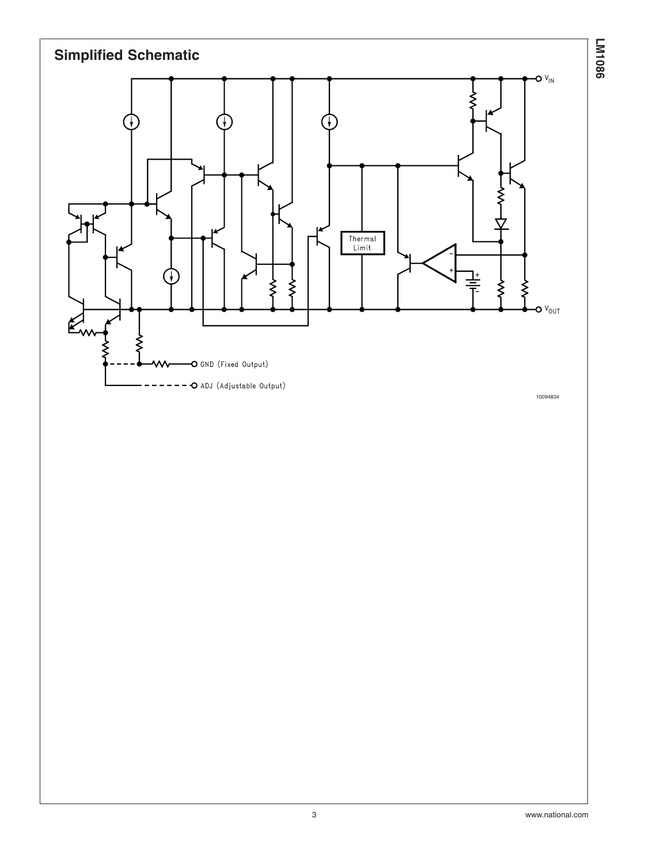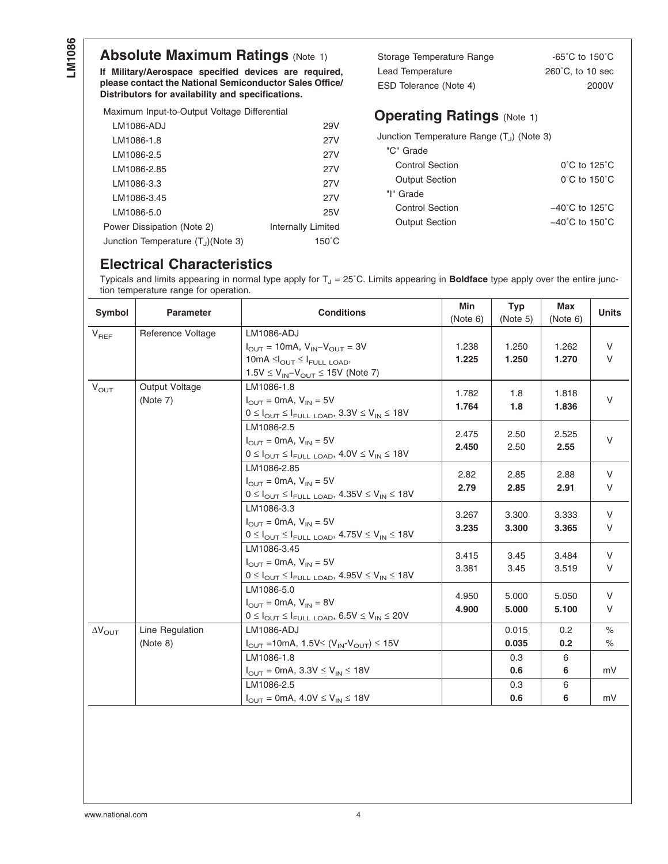# **Absolute Maximum Ratings [\(Note 1\)](#page-5-0)**

**If Military/Aerospace specified devices are required, please contact the National Semiconductor Sales Office/ Distributors for availability and specifications.**

Maximum Input-to-Output Voltage Differential

| LM1086-ADJ                                      | 29V                |
|-------------------------------------------------|--------------------|
| LM1086-1.8                                      | 27V                |
| LM1086-2.5                                      | 27V                |
| LM1086-2.85                                     | 27V                |
| LM1086-3.3                                      | 27V                |
| LM1086-3.45                                     | 27V                |
| LM1086-5.0                                      | 25V                |
| Power Dissipation (Note 2)                      | Internally Limited |
| Junction Temperature (T <sub>.I</sub> )(Note 3) | $150^{\circ}$ C    |
|                                                 |                    |

Storage Temperature Range -65°C to 150°C Lead Temperature 260°C, to 10 sec ESD Tolerance [\(Note 4\)](#page-5-0) 2000V

# **Operating Ratings** [\(Note 1\)](#page-5-0)

| Junction Temperature Range (T <sub>i</sub> ) (Note 3) |                                     |
|-------------------------------------------------------|-------------------------------------|
| "C" Grade                                             |                                     |
| <b>Control Section</b>                                | $0^{\circ}$ C to 125 $^{\circ}$ C   |
| <b>Output Section</b>                                 | $0^{\circ}$ C to 150 $^{\circ}$ C   |
| "I" Grade                                             |                                     |
| Control Section                                       | $-40^{\circ}$ C to 125 $^{\circ}$ C |
| <b>Output Section</b>                                 | $-40^{\circ}$ C to 150 $^{\circ}$ C |
|                                                       |                                     |

# **Electrical Characteristics**

Typicals and limits appearing in normal type apply for T<sub>J</sub> = 25°C. Limits appearing in **Boldface** type apply over the entire junction temperature range for operation.

| Symbol                  | <b>Parameter</b>           | <b>Conditions</b>                                                                                                                                                                    | Min<br>(Note 6) | <b>Typ</b><br>(Note 5) | <b>Max</b><br>(Note 6) | <b>Units</b>  |
|-------------------------|----------------------------|--------------------------------------------------------------------------------------------------------------------------------------------------------------------------------------|-----------------|------------------------|------------------------|---------------|
| $V_{REF}$               | Reference Voltage          | <b>LM1086-ADJ</b><br>$I_{\text{OUT}} = 10 \text{mA}, V_{\text{IN}} - V_{\text{OUT}} = 3V$<br>$10mA \leq l_{OUT} \leq l_{FULL\ LOAD}$<br>$1.5V \le V_{IN} - V_{OUT} \le 15V$ (Note 7) | 1.238<br>1.225  | 1.250<br>1.250         | 1.262<br>1.270         | V<br>V        |
| $V_{OUT}$               | Output Voltage<br>(Note 7) | LM1086-1.8<br>$I_{\text{OUT}}$ = 0mA, $V_{\text{IN}}$ = 5V<br>$0 \leq I_{\text{OUT}} \leq I_{\text{FULL LOAD}}$ , $3.3 \text{V} \leq V_{\text{IN}} \leq 18 \text{V}$                 | 1.782<br>1.764  | 1.8<br>1.8             | 1.818<br>1.836         | V             |
|                         |                            | LM1086-2.5<br>$I_{\text{OUT}}$ = 0mA, $V_{\text{IN}}$ = 5V<br>$0 \leq I_{\text{OUT}} \leq I_{\text{FULL}\text{-}LOAD}$ , $4.0 \text{V} \leq V_{\text{IN}} \leq 18 \text{V}$          | 2.475<br>2.450  | 2.50<br>2.50           | 2.525<br>2.55          | $\vee$        |
|                         |                            | LM1086-2.85<br>$I_{\text{OUT}}$ = 0mA, $V_{\text{IN}}$ = 5V<br>$0 \leq I_{\text{OUT}} \leq I_{\text{FULL}\text{ LOAD}}$ , $4.35V \leq V_{\text{IN}} \leq 18V$                        | 2.82<br>2.79    | 2.85<br>2.85           | 2.88<br>2.91           | V<br>V        |
|                         |                            | LM1086-3.3<br>$I_{\text{OUT}}$ = 0mA, $V_{\text{IN}}$ = 5V<br>$0 \leq I_{\text{OUT}} \leq I_{\text{FULL}\text{ LOAD}}$ , $4.75V \leq V_{\text{IN}} \leq 18V$                         | 3.267<br>3.235  | 3.300<br>3.300         | 3.333<br>3.365         | V<br>V        |
|                         |                            | LM1086-3.45<br>$I_{\text{OUT}}$ = 0mA, $V_{\text{IN}}$ = 5V<br>$0 \leq I_{\text{OUT}} \leq I_{\text{FULL}\text{ LOAD}}$ , $4.95V \leq V_{\text{IN}} \leq 18V$                        | 3.415<br>3.381  | 3.45<br>3.45           | 3.484<br>3.519         | V<br>V        |
|                         |                            | LM1086-5.0<br>$I_{\text{OUT}} = 0$ mA, $V_{\text{IN}} = 8V$<br>$0 \leq I_{\text{OUT}} \leq I_{\text{FULL LOAD}}$ , $6.5V \leq V_{\text{IN}} \leq 20V$                                | 4.950<br>4.900  | 5.000<br>5.000         | 5.050<br>5.100         | V<br>V        |
| $\Delta V_{\text{OUT}}$ | Line Regulation            | <b>LM1086-ADJ</b>                                                                                                                                                                    |                 | 0.015                  | 0.2                    | $\frac{1}{2}$ |
|                         | (Note 8)                   | $I_{\text{OUT}} = 10 \text{mA}, 1.5 \text{V} \leq (V_{\text{IN}} - V_{\text{OUT}}) \leq 15 \text{V}$                                                                                 |                 | 0.035                  | 0.2                    | $\%$          |
|                         |                            | LM1086-1.8<br>$I_{\text{OUT}} = 0 \text{mA}, 3.3 \text{V} \leq V_{\text{IN}} \leq 18 \text{V}$                                                                                       |                 | 0.3<br>0.6             | 6<br>6                 | mV            |
|                         |                            | LM1086-2.5                                                                                                                                                                           |                 | 0.3                    | 6                      |               |
|                         |                            | $I_{\text{OUT}} = 0 \text{mA}, 4.0 \text{V} \le V_{\text{IN}} \le 18 \text{V}$                                                                                                       |                 | 0.6                    | 6                      | mV            |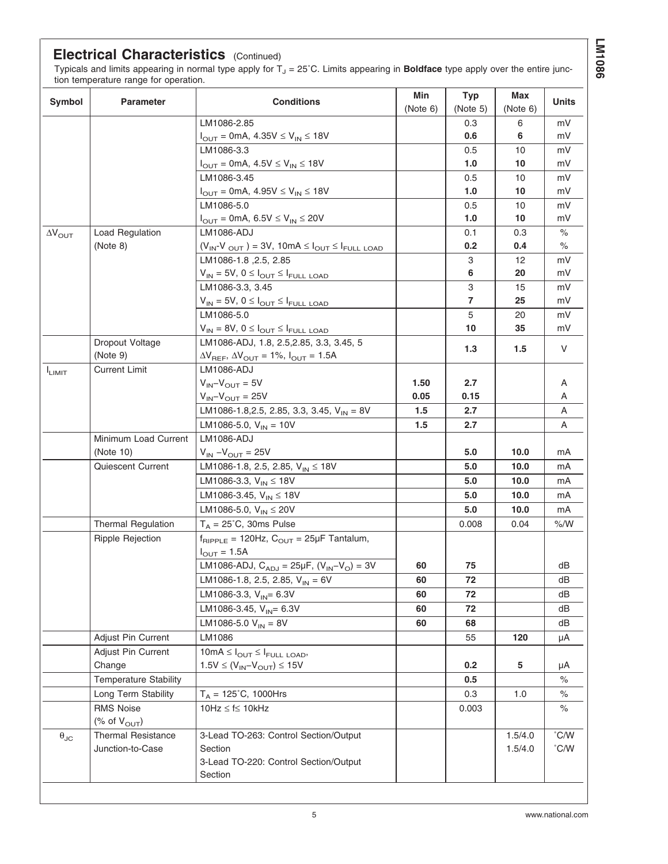# **LM1086**

## **Electrical Characteristics** (Continued)

Typicals and limits appearing in normal type apply for T<sub>J</sub> = 25˚C. Limits appearing in **Boldface** type apply over the entire junction temperature range for operation.

| Symbol                  | <b>Parameter</b>             | <b>Conditions</b>                                                                 | Min<br>(Note 6) | <b>Typ</b><br>(Note 5) | Max<br>(Note 6) | Units         |
|-------------------------|------------------------------|-----------------------------------------------------------------------------------|-----------------|------------------------|-----------------|---------------|
|                         |                              | LM1086-2.85                                                                       |                 | 0.3                    | 6               | mV            |
|                         |                              | $I_{\text{OUT}} = 0 \text{mA}, 4.35 \text{V} \leq V_{\text{IN}} \leq 18 \text{V}$ |                 | 0.6                    | 6               | mV            |
|                         |                              | LM1086-3.3                                                                        |                 | 0.5                    | 10              | mV            |
|                         |                              | $I_{OUT} = 0 \text{mA}, 4.5 \text{V} \leq V_{IN} \leq 18 \text{V}$                |                 | 1.0                    | 10              | mV            |
|                         |                              | LM1086-3.45                                                                       |                 | 0.5                    | 10              | mV            |
|                         |                              | $I_{OUT} = 0 \text{mA}, 4.95 \text{V} \leq V_{IN} \leq 18 \text{V}$               |                 | 1.0                    | 10              | mV            |
|                         |                              | LM1086-5.0                                                                        |                 | 0.5                    | 10              | mV            |
|                         |                              | $I_{\text{OUT}} = 0 \text{mA}, 6.5 \text{V} \leq V_{\text{IN}} \leq 20 \text{V}$  |                 | 1.0                    | 10              | mV            |
| $\Delta V_{\text{OUT}}$ | Load Regulation              | <b>LM1086-ADJ</b>                                                                 |                 | 0.1                    | 0.3             | $\%$          |
|                         | (Note 8)                     | $(V_{IN} - V_{OUT}) = 3V$ , 10mA $\leq I_{OUT} \leq I_{FULL\$ LOAD                |                 | 0.2                    | 0.4             | $\%$          |
|                         |                              | LM1086-1.8, 2.5, 2.85                                                             |                 | 3                      | 12              | mV            |
|                         |                              | $V_{IN} = 5V, 0 \leq I_{OUT} \leq I_{FULL\ LOAD}$                                 |                 | 6                      | 20              | mV            |
|                         |                              | LM1086-3.3, 3.45                                                                  |                 | 3                      | 15              | mV            |
|                         |                              | $V_{\text{IN}} = 5V, 0 \leq I_{\text{OUT}} \leq I_{\text{FULL LOAD}}$             |                 | $\overline{7}$         | 25              | mV            |
|                         |                              | LM1086-5.0                                                                        |                 | 5                      | 20              | mV            |
|                         |                              | $V_{IN} = 8V$ , $0 \leq I_{OUT} \leq I_{FULL}$ LOAD                               |                 | 10                     | 35              | mV            |
|                         | Dropout Voltage              | LM1086-ADJ, 1.8, 2.5, 2.85, 3.3, 3.45, 5                                          |                 |                        |                 |               |
|                         | (Note 9)                     | $\Delta V_{REF}$ , $\Delta V_{OUT}$ = 1%, $I_{OUT}$ = 1.5A                        |                 | 1.3                    | 1.5             | V             |
| $I_{LIMIT}$             | <b>Current Limit</b>         | <b>LM1086-ADJ</b>                                                                 |                 |                        |                 |               |
|                         |                              | $V_{IN} - V_{OUT} = 5V$                                                           | 1.50            | 2.7                    |                 | Α             |
|                         |                              | $V_{IN} - V_{OUT} = 25V$                                                          | 0.05            | 0.15                   |                 | A             |
|                         |                              | LM1086-1.8,2.5, 2.85, 3.3, 3.45, $V_{IN} = 8V$                                    | 1.5             | 2.7                    |                 | Α             |
|                         |                              | LM1086-5.0, $V_{IN} = 10V$                                                        | 1.5             | 2.7                    |                 | A             |
|                         | Minimum Load Current         | LM1086-ADJ                                                                        |                 |                        |                 |               |
|                         | (Note 10)                    | $V_{IN} - V_{OUT} = 25V$                                                          |                 | 5.0                    | 10.0            | mA            |
|                         | Quiescent Current            | LM1086-1.8, 2.5, 2.85, $V_{IN} \le 18V$                                           |                 | 5.0                    | 10.0            | mA            |
|                         |                              | LM1086-3.3, $V_{IN} \le 18V$                                                      |                 | 5.0                    | 10.0            | mA            |
|                         |                              | LM1086-3.45, $V_{IN} \le 18V$                                                     |                 | 5.0                    | 10.0            | mA            |
|                         |                              | LM1086-5.0, $V_{IN} \le 20V$                                                      |                 | 5.0                    | 10.0            | mA            |
|                         | <b>Thermal Regulation</b>    | $T_A = 25^{\circ}$ C, 30ms Pulse                                                  |                 | 0.008                  | 0.04            | % /W          |
|                         | <b>Ripple Rejection</b>      | $f_{RIPPLE}$ = 120Hz, $C_{OUT}$ = 25µF Tantalum,                                  |                 |                        |                 |               |
|                         |                              | $I_{\text{OUT}} = 1.5A$                                                           |                 |                        |                 |               |
|                         |                              | LM1086-ADJ, $C_{ADJ} = 25 \mu F$ , $(V_{IN} - V_{O}) = 3V$                        | 60              | 75                     |                 | dВ            |
|                         |                              | LM1086-1.8, 2.5, 2.85, $V_{IN} = 6V$                                              | 60              | 72                     |                 | dΒ            |
|                         |                              | LM1086-3.3, $V_{IN} = 6.3V$                                                       | 60              | 72                     |                 | dB            |
|                         |                              | LM1086-3.45, $V_{IN} = 6.3V$                                                      | 60              | 72                     |                 | dB            |
|                         |                              | LM1086-5.0 $V_{IN} = 8V$                                                          | 60              | 68                     |                 | dB            |
|                         | Adjust Pin Current           | LM1086                                                                            |                 | 55                     | 120             | μA            |
|                         | Adjust Pin Current           | $10mA \leq I_{OUT} \leq I_{FULL\ LOAD}$                                           |                 |                        |                 |               |
|                         | Change                       | $1.5V \leq (V_{IN} - V_{OUT}) \leq 15V$                                           |                 | 0.2                    | 5               | μA            |
|                         | <b>Temperature Stability</b> |                                                                                   |                 | 0.5                    |                 | $\%$          |
|                         | Long Term Stability          | $T_A = 125^{\circ}C$ , 1000Hrs                                                    |                 | 0.3                    | 1.0             | $\%$          |
|                         | <b>RMS Noise</b>             | $10Hz \le f \le 10kHz$                                                            |                 | 0.003                  |                 | $\%$          |
|                         | (% of $V_{\text{OUT}}$ )     |                                                                                   |                 |                        |                 |               |
| $\theta_{\text{JC}}$    | <b>Thermal Resistance</b>    | 3-Lead TO-263: Control Section/Output                                             |                 |                        | 1.5/4.0         | $\degree$ C/W |
|                         | Junction-to-Case             | Section                                                                           |                 |                        | 1.5/4.0         | $\degree$ C/W |
|                         |                              | 3-Lead TO-220: Control Section/Output                                             |                 |                        |                 |               |
|                         |                              | Section                                                                           |                 |                        |                 |               |
|                         |                              |                                                                                   |                 |                        |                 |               |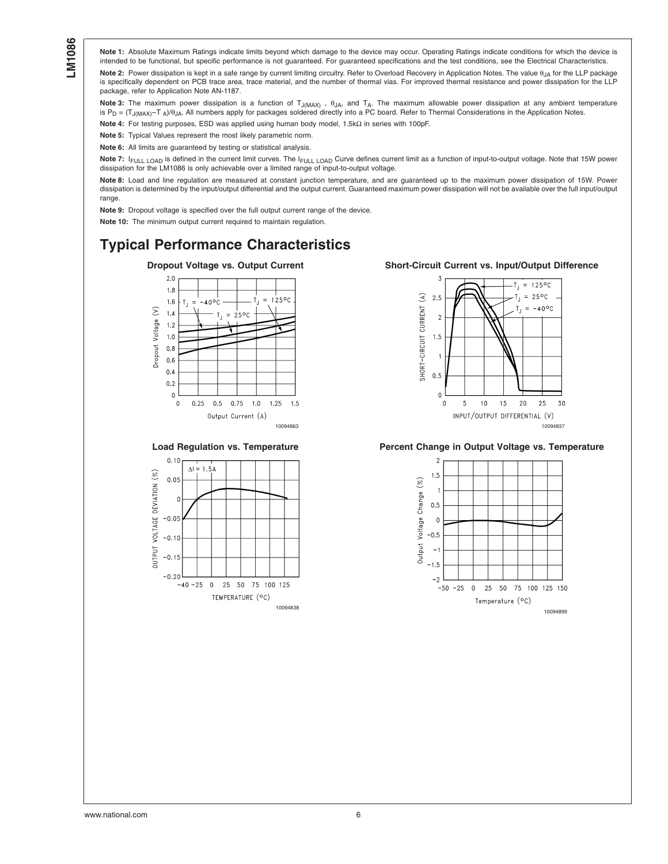<span id="page-5-0"></span>**Note 1:** Absolute Maximum Ratings indicate limits beyond which damage to the device may occur. Operating Ratings indicate conditions for which the device is intended to be functional, but specific performance is not quaranteed. For quaranteed specifications and the test conditions, see the Electrical Characteristics. Note 2: Power dissipation is kept in a safe range by current limiting circuitry. Refer to Overload Recovery in Application Notes. The value θ<sub>IΔ</sub> for the LLP package is specifically dependent on PCB trace area, trace material, and the number of thermal vias. For improved thermal resistance and power dissipation for the LLP package, refer to Application Note AN-1187.

Note 3: The maximum power dissipation is a function of T<sub>J(MAX)</sub>, θ<sub>JA</sub>, and T<sub>A</sub>. The maximum allowable power dissipation at any ambient temperature is P<sub>D</sub> = (T<sub>J(MAX)</sub>-T<sub>A</sub>)/θ<sub>JA</sub>. All numbers apply for packages soldered directly into a PC board. Refer to Thermal Considerations in the Application Notes.

**Note 4:** For testing purposes, ESD was applied using human body model, 1.5kΩ in series with 100pF.

**Note 5:** Typical Values represent the most likely parametric norm.

**Note 6:** All limits are guaranteed by testing or statistical analysis.

Note 7: IFULL LOAD is defined in the current limit curves. The I<sub>FULL LOAD</sub> Curve defines current limit as a function of input-to-output voltage. Note that 15W power dissipation for the LM1086 is only achievable over a limited range of input-to-output voltage.

**Note 8:** Load and line regulation are measured at constant junction temperature, and are guaranteed up to the maximum power dissipation of 15W. Power dissipation is determined by the input/output differential and the output current. Guaranteed maximum power dissipation will not be available over the full input/output range.

**Note 9:** Dropout voltage is specified over the full output current range of the device.

**Note 10:** The minimum output current required to maintain regulation.

# **Typical Performance Characteristics**







### **Dropout Voltage vs. Output Current Short-Circuit Current vs. Input/Output Difference**



## Load Regulation vs. Temperature **Percent Change in Output Voltage vs. Temperature**



www.national.com 6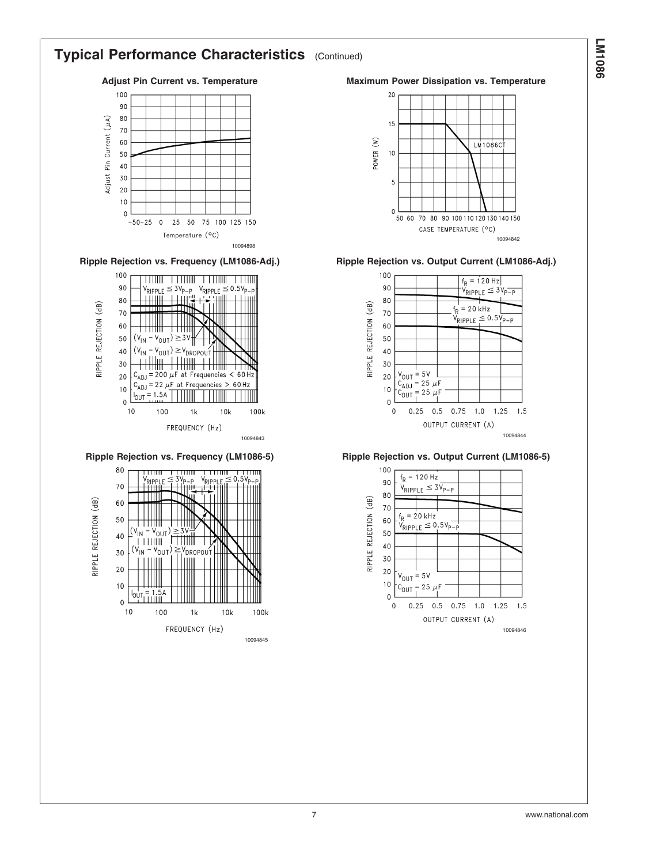# **LM1086**

# **Typical Performance Characteristics** (Continued)









Adjust Pin Current vs. Temperature **Maximum Power Dissipation vs. Temperature** 



**Ripple Rejection vs. Frequency (LM1086-Adj.) Ripple Rejection vs. Output Current (LM1086-Adj.)**





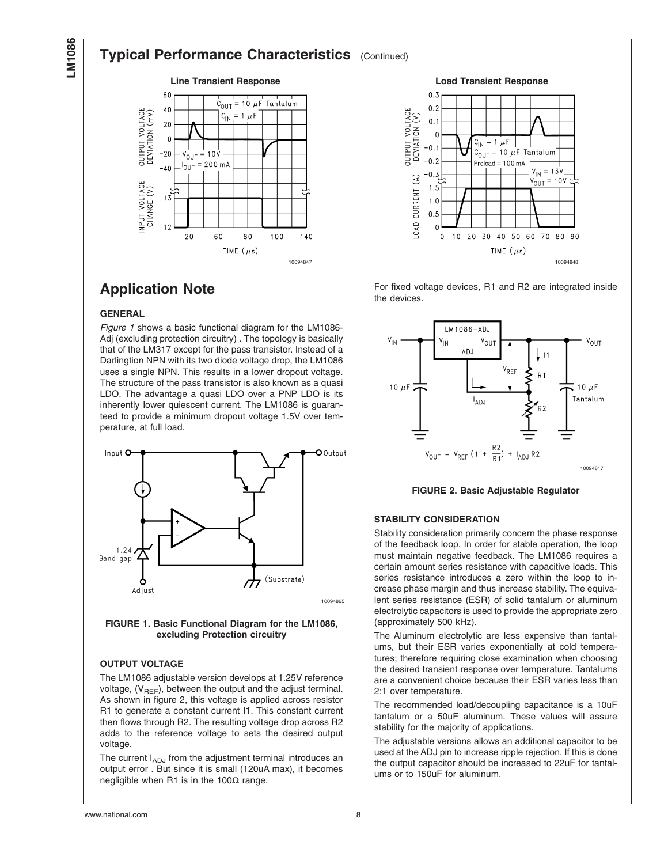# <span id="page-7-0"></span>**Typical Performance Characteristics** (Continued)





**Application Note**

## **GENERAL**

*Figure 1* shows a basic functional diagram for the LM1086- Adj (excluding protection circuitry) . The topology is basically that of the LM317 except for the pass transistor. Instead of a Darlingtion NPN with its two diode voltage drop, the LM1086 uses a single NPN. This results in a lower dropout voltage. The structure of the pass transistor is also known as a quasi LDO. The advantage a quasi LDO over a PNP LDO is its inherently lower quiescent current. The LM1086 is guaranteed to provide a minimum dropout voltage 1.5V over temperature, at full load.



**FIGURE 1. Basic Functional Diagram for the LM1086, excluding Protection circuitry**

## **OUTPUT VOLTAGE**

The LM1086 adjustable version develops at 1.25V reference voltage,  $(V_{REF})$ , between the output and the adjust terminal. As shown in figure 2, this voltage is applied across resistor R1 to generate a constant current I1. This constant current then flows through R2. The resulting voltage drop across R2 adds to the reference voltage to sets the desired output voltage.

The current  $I_{ADJ}$  from the adjustment terminal introduces an output error . But since it is small (120uA max), it becomes negligible when R1 is in the 100 $Ω$  range.

For fixed voltage devices, R1 and R2 are integrated inside the devices.



**FIGURE 2. Basic Adjustable Regulator**

## **STABILITY CONSIDERATION**

Stability consideration primarily concern the phase response of the feedback loop. In order for stable operation, the loop must maintain negative feedback. The LM1086 requires a certain amount series resistance with capacitive loads. This series resistance introduces a zero within the loop to increase phase margin and thus increase stability. The equivalent series resistance (ESR) of solid tantalum or aluminum electrolytic capacitors is used to provide the appropriate zero (approximately 500 kHz).

The Aluminum electrolytic are less expensive than tantalums, but their ESR varies exponentially at cold temperatures; therefore requiring close examination when choosing the desired transient response over temperature. Tantalums are a convenient choice because their ESR varies less than 2:1 over temperature.

The recommended load/decoupling capacitance is a 10uF tantalum or a 50uF aluminum. These values will assure stability for the majority of applications.

The adjustable versions allows an additional capacitor to be used at the ADJ pin to increase ripple rejection. If this is done the output capacitor should be increased to 22uF for tantalums or to 150uF for aluminum.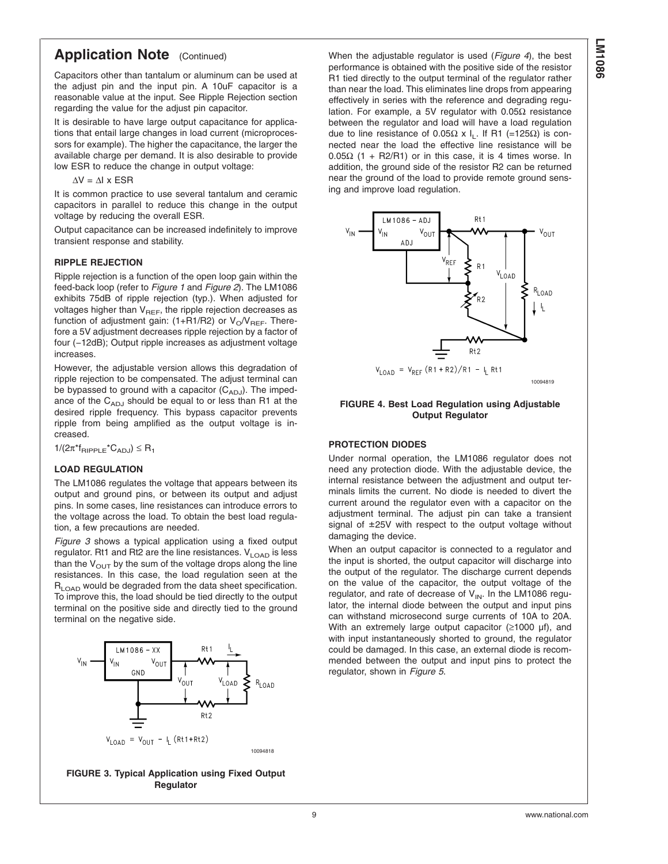# **Application Note** (Continued)

Capacitors other than tantalum or aluminum can be used at the adjust pin and the input pin. A 10uF capacitor is a reasonable value at the input. See Ripple Rejection section regarding the value for the adjust pin capacitor.

It is desirable to have large output capacitance for applications that entail large changes in load current (microprocessors for example). The higher the capacitance, the larger the available charge per demand. It is also desirable to provide low ESR to reduce the change in output voltage:

 $\Delta V = \Delta I$  x ESR

It is common practice to use several tantalum and ceramic capacitors in parallel to reduce this change in the output voltage by reducing the overall ESR.

Output capacitance can be increased indefinitely to improve transient response and stability.

## **RIPPLE REJECTION**

Ripple rejection is a function of the open loop gain within the feed-back loop (refer to *[Figure 1](#page-7-0)* and *[Figure 2](#page-7-0)*). The LM1086 exhibits 75dB of ripple rejection (typ.). When adjusted for voltages higher than  $V_{REF}$ , the ripple rejection decreases as function of adjustment gain: (1+R1/R2) or  $V_O/V_{REF}$ . Therefore a 5V adjustment decreases ripple rejection by a factor of four (−12dB); Output ripple increases as adjustment voltage increases.

However, the adjustable version allows this degradation of ripple rejection to be compensated. The adjust terminal can be bypassed to ground with a capacitor  $(C_{ADJ})$ . The impedance of the  $C_{ADJ}$  should be equal to or less than R1 at the desired ripple frequency. This bypass capacitor prevents ripple from being amplified as the output voltage is increased.

 $1/(2\pi^*f_{\text{RIPPLE}}^*C_{\text{ADJ}}) \leq R_1$ 

## **LOAD REGULATION**

The LM1086 regulates the voltage that appears between its output and ground pins, or between its output and adjust pins. In some cases, line resistances can introduce errors to the voltage across the load. To obtain the best load regulation, a few precautions are needed.

*Figure 3* shows a typical application using a fixed output regulator. Rt1 and Rt2 are the line resistances.  $V_{\text{LOAD}}$  is less than the  $V_{\text{OUT}}$  by the sum of the voltage drops along the line resistances. In this case, the load regulation seen at the  $R_{\text{LOAD}}$  would be degraded from the data sheet specification. To improve this, the load should be tied directly to the output terminal on the positive side and directly tied to the ground terminal on the negative side.



**FIGURE 3. Typical Application using Fixed Output Regulator**

When the adjustable regulator is used (*Figure 4*), the best performance is obtained with the positive side of the resistor R1 tied directly to the output terminal of the regulator rather than near the load. This eliminates line drops from appearing effectively in series with the reference and degrading regulation. For example, a 5V regulator with 0.05Ω resistance between the regulator and load will have a load regulation due to line resistance of 0.05Ω x I<sub>L</sub>. If R1 (=125Ω) is connected near the load the effective line resistance will be 0.05Ω (1 + R2/R1) or in this case, it is 4 times worse. In addition, the ground side of the resistor R2 can be returned near the ground of the load to provide remote ground sensing and improve load regulation.



## **FIGURE 4. Best Load Regulation using Adjustable Output Regulator**

## **PROTECTION DIODES**

Under normal operation, the LM1086 regulator does not need any protection diode. With the adjustable device, the internal resistance between the adjustment and output terminals limits the current. No diode is needed to divert the current around the regulator even with a capacitor on the adjustment terminal. The adjust pin can take a transient signal of ±25V with respect to the output voltage without damaging the device.

When an output capacitor is connected to a regulator and the input is shorted, the output capacitor will discharge into the output of the regulator. The discharge current depends on the value of the capacitor, the output voltage of the regulator, and rate of decrease of  $V_{IN}$ . In the LM1086 regulator, the internal diode between the output and input pins can withstand microsecond surge currents of 10A to 20A. With an extremely large output capacitor (≥1000 µf), and with input instantaneously shorted to ground, the regulator could be damaged. In this case, an external diode is recommended between the output and input pins to protect the regulator, shown in *[Figure 5](#page-9-0)*.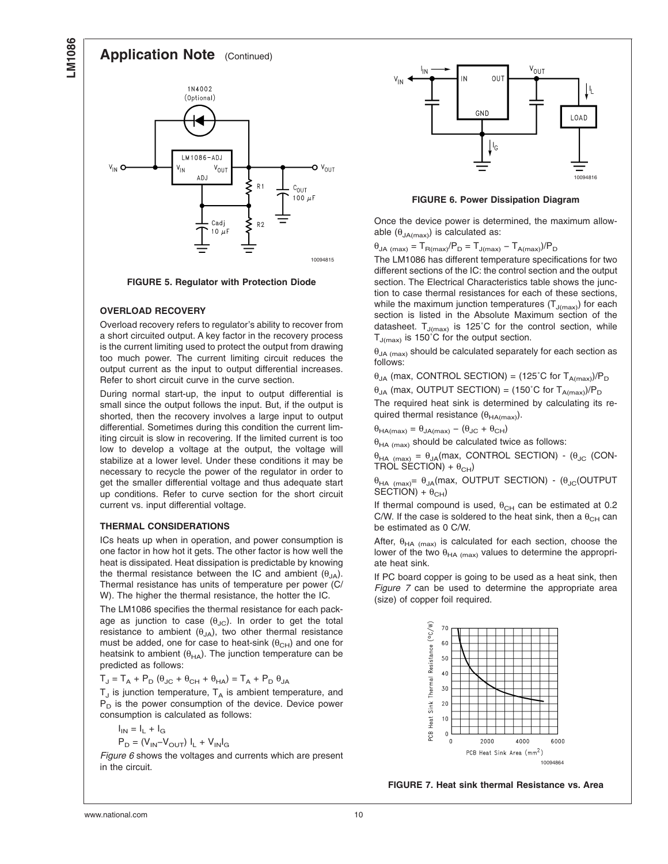## **Application Note** (Continued)

<span id="page-9-0"></span>

**FIGURE 5. Regulator with Protection Diode**

## **OVERLOAD RECOVERY**

Overload recovery refers to regulator's ability to recover from a short circuited output. A key factor in the recovery process is the current limiting used to protect the output from drawing too much power. The current limiting circuit reduces the output current as the input to output differential increases. Refer to short circuit curve in the curve section.

During normal start-up, the input to output differential is small since the output follows the input. But, if the output is shorted, then the recovery involves a large input to output differential. Sometimes during this condition the current limiting circuit is slow in recovering. If the limited current is too low to develop a voltage at the output, the voltage will stabilize at a lower level. Under these conditions it may be necessary to recycle the power of the regulator in order to get the smaller differential voltage and thus adequate start up conditions. Refer to curve section for the short circuit current vs. input differential voltage.

## **THERMAL CONSIDERATIONS**

ICs heats up when in operation, and power consumption is one factor in how hot it gets. The other factor is how well the heat is dissipated. Heat dissipation is predictable by knowing the thermal resistance between the IC and ambient (θ<sub>JA</sub>). Thermal resistance has units of temperature per power (C/ W). The higher the thermal resistance, the hotter the IC.

The LM1086 specifies the thermal resistance for each package as junction to case  $(\theta_{JC})$ . In order to get the total resistance to ambient  $(\theta_{JA})$ , two other thermal resistance must be added, one for case to heat-sink  $(\theta_{CH})$  and one for heatsink to ambient  $(\theta_{HA})$ . The junction temperature can be predicted as follows:

 $T_J = T_A + P_D (\theta_{JC} + \theta_{CH} + \theta_{HA}) = T_A + P_D \theta_{JA}$ 

 $T_J$  is junction temperature,  $T_A$  is ambient temperature, and  $P_D$  is the power consumption of the device. Device power consumption is calculated as follows:

$$
I_{IN} = I_L + I_G
$$

$$
\mathsf{P}_{\mathrm{D}} = (\mathsf{V}_{\mathsf{IN}} \text{--} \mathsf{V}_{\mathsf{OUT}}) \; \mathsf{I}_{\mathsf{L}} + \mathsf{V}_{\mathsf{IN}} \mathsf{I}_{\mathsf{G}}
$$

*Figure 6* shows the voltages and currents which are present in the circuit.



**FIGURE 6. Power Dissipation Diagram**

Once the device power is determined, the maximum allowable  $(\theta_{JA(max)})$  is calculated as:

 $\theta_{JA \ (max)} = T_{R(max)} / P_D = T_{J(max)} - T_{A(max)} / P_D$ 

The LM1086 has different temperature specifications for two different sections of the IC: the control section and the output section. The Electrical Characteristics table shows the junction to case thermal resistances for each of these sections, while the maximum junction temperatures  $(T_{J(max)})$  for each section is listed in the Absolute Maximum section of the datasheet.  $T_{J(max)}$  is 125°C for the control section, while  $T_{J(max)}$  is 150°C for the output section.

 $\theta_{JA\ (max)}$  should be calculated separately for each section as follows:

 $\theta_{JA}$  (max, CONTROL SECTION) = (125°C for T<sub>A(max)</sub>)/P<sub>D</sub>

 $\theta_{JA}$  (max, OUTPUT SECTION) = (150°C for  $T_{A(max)}$ )/P<sub>D</sub>

The required heat sink is determined by calculating its required thermal resistance  $(\theta_{HA(max)})$ .

 $θ$ <sub>HA(max)</sub> =  $θ$ <sub>JA(max)</sub> – ( $θ$ <sub>JC</sub> +  $θ$ <sub>CH</sub>)

 $\theta_{HA \ (max)}$  should be calculated twice as follows:

 $θ$ <sub>HA (max)</sub> =  $θ$ <sub>JA</sub>(max, CONTROL SECTION) - ( $θ$ <sub>JC</sub> (CON-TROL SECTION) +  $\theta_{CH}$ )

 $θ$ <sub>HA (max)</sub>=  $θ$ <sub>JA</sub>(max, OUTPUT SECTION) - ( $θ$ <sub>JC</sub>(OUTPUT  $SECTION + \theta_{CH}$ )

If thermal compound is used,  $\theta_{CH}$  can be estimated at 0.2 C/W. If the case is soldered to the heat sink, then a  $\theta_{CH}$  can be estimated as 0 C/W.

After,  $\theta_{HA \ (max)}$  is calculated for each section, choose the lower of the two  $\theta_{HA\ (max)}$  values to determine the appropriate heat sink.

If PC board copper is going to be used as a heat sink, then *Figure 7* can be used to determine the appropriate area (size) of copper foil required.



**FIGURE 7. Heat sink thermal Resistance vs. Area**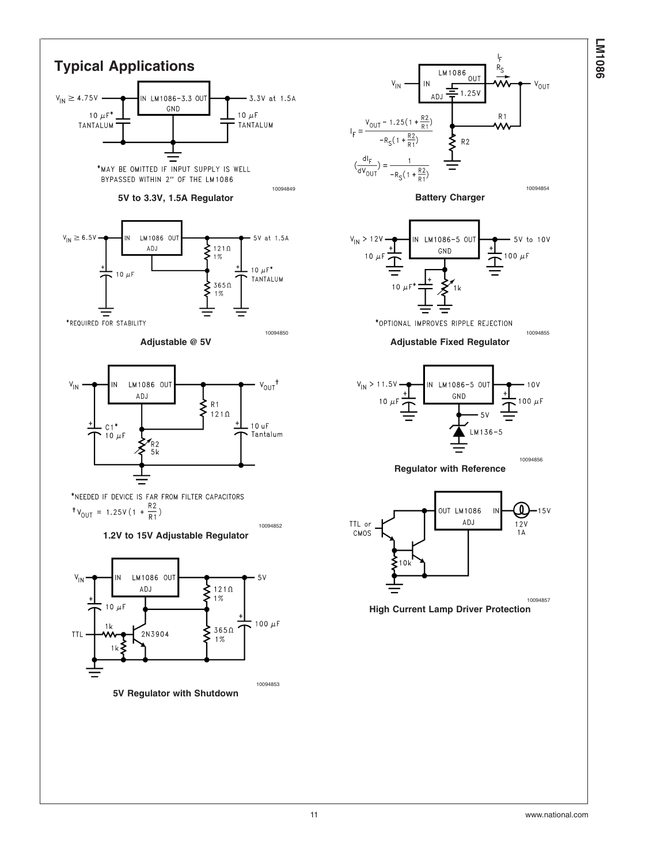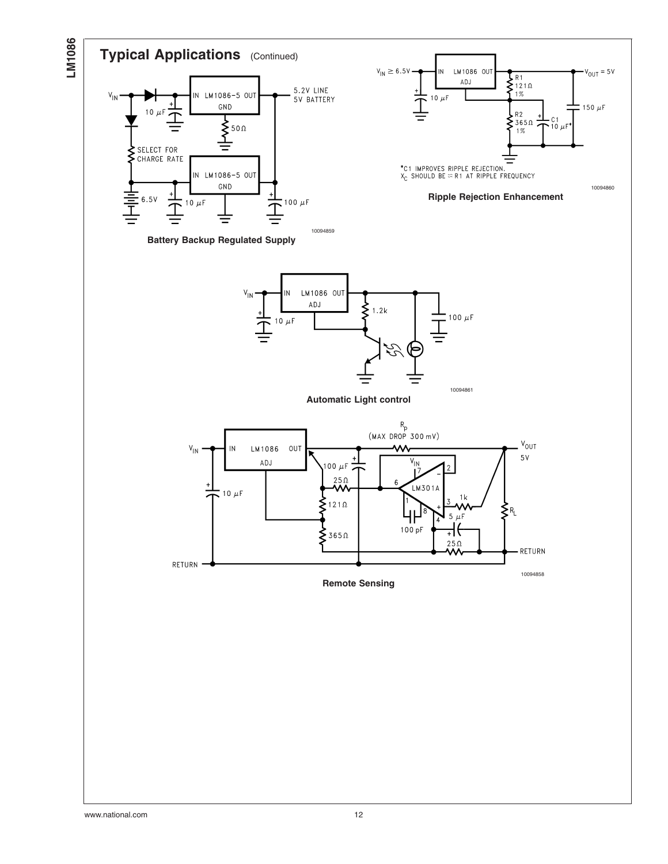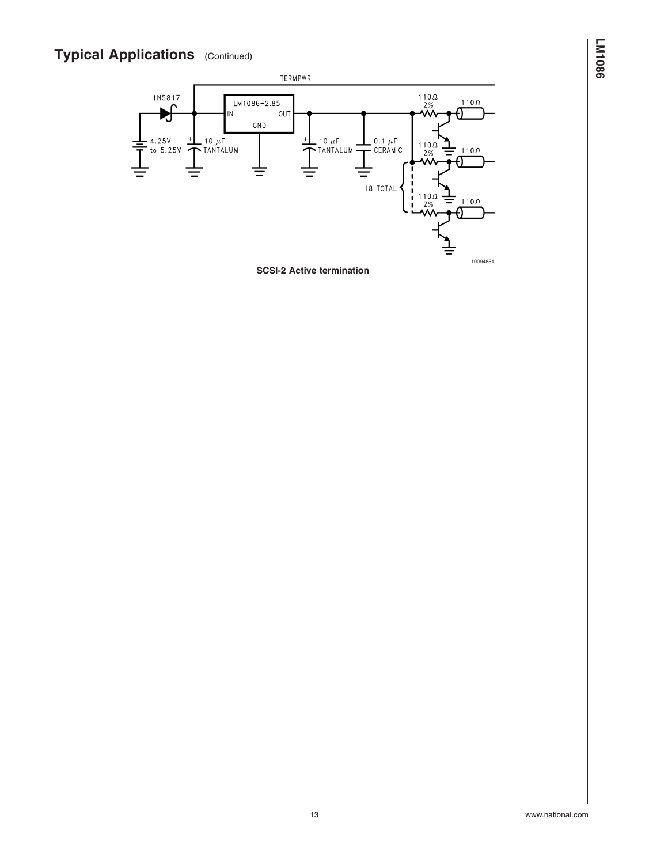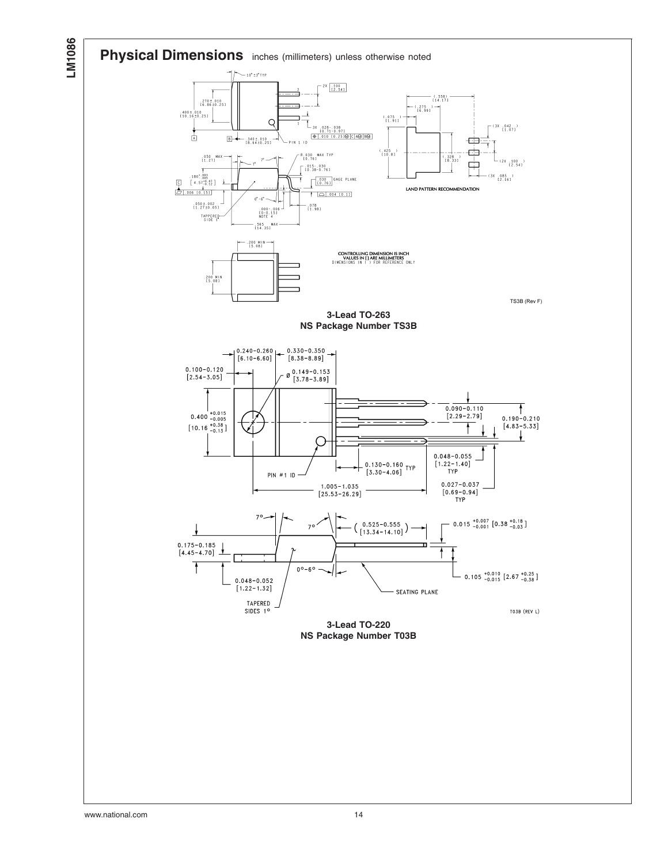